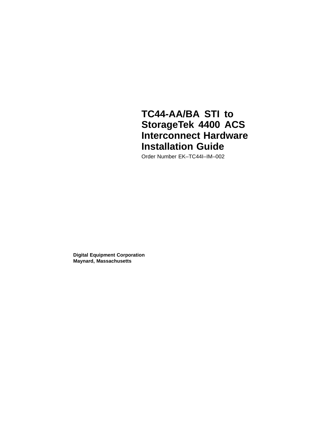## **TC44-AA/BA STI to StorageTek 4400 ACS Interconnect Hardware Installation Guide**

Order Number EK–TC44I–IM–002

**Digital Equipment Corporation Maynard, Massachusetts**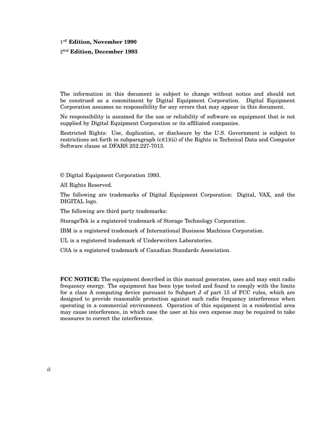## - **Edition, November 1990**

#### **Edition, December 1993**

The information in this document is subject to change without notice and should not be construed as a commitment by Digital Equipment Corporation. Digital Equipment Corporation assumes no responsibility for any errors that may appear in this document.

No responsibility is assumed for the use or reliability of software on equipment that is not supplied by Digital Equipment Corporation or its affiliated companies.

Restricted Rights: Use, duplication, or disclosure by the U.S. Government is subject to restrictions set forth in subparagraph (c)(1)(ii) of the Rights in Technical Data and Computer Software clause at DFARS 252.227-7013.

© Digital Equipment Corporation 1993.

All Rights Reserved.

The following are trademarks of Digital Equipment Corporation: Digital, VAX, and the DIGITAL logo.

The following are third party trademarks:

StorageTek is a registered trademark of Storage Technology Corporation.

IBM is a registered trademark of International Business Machines Corporation.

UL is a registered trademark of Underwriters Laboratories.

CSA is a registered trademark of Canadian Standards Association.

**FCC NOTICE:** The equipment described in this manual generates, uses and may emit radio frequency energy. The equipment has been type tested and found to comply with the limits for a class A computing device pursuant to Subpart J of part 15 of FCC rules, which are designed to provide reasonable protection against such radio frequency interference when operating in a commercial environment. Operation of this equipment in a residential area may cause interference, in which case the user at his own expense may be required to take measures to correct the interference.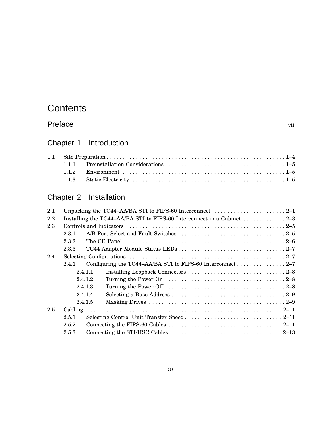# **Contents**

## Preface vii

## Chapter 1 Introduction

## Chapter 2 Installation

| 2.1 |       |         | Unpacking the TC44–AA/BA STI to FIPS-60 Interconnect $\dots \dots \dots \dots \dots \dots \dots \dots 2-1$ |  |
|-----|-------|---------|------------------------------------------------------------------------------------------------------------|--|
| 2.2 |       |         | Installing the TC44-AA/BA STI to FIPS-60 Interconnect in a Cabinet 2–3                                     |  |
| 2.3 |       |         |                                                                                                            |  |
|     | 2.3.1 |         |                                                                                                            |  |
|     | 2.3.2 |         |                                                                                                            |  |
|     | 2.3.3 |         |                                                                                                            |  |
| 2.4 |       |         |                                                                                                            |  |
|     | 241   |         |                                                                                                            |  |
|     |       | 2.4.1.1 |                                                                                                            |  |
|     |       | 2.4.1.2 |                                                                                                            |  |
|     |       | 2.4.1.3 |                                                                                                            |  |
|     |       | 2.4.1.4 |                                                                                                            |  |
|     |       | 2.4.1.5 |                                                                                                            |  |
| 2.5 |       |         |                                                                                                            |  |
|     | 2.5.1 |         |                                                                                                            |  |
|     | 2.5.2 |         |                                                                                                            |  |
|     | 2.5.3 |         |                                                                                                            |  |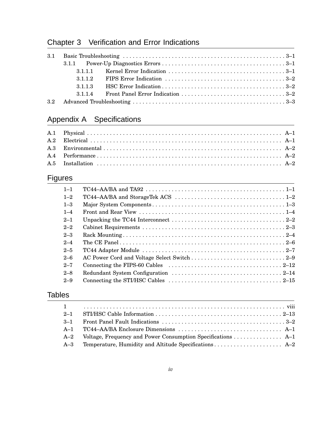## Chapter 3 Verification and Error Indications

|     | 3113 |  |
|-----|------|--|
|     | 3114 |  |
| 3.2 |      |  |

## Appendix A Specifications

## Figures

| $1 - 1$ | TC44-AA/BA and TA92 $\ldots$ , $\ldots$ , $\ldots$ , $\ldots$ , $\ldots$ , $\ldots$ , $\ldots$ , $\ldots$ , $\ldots$ , $\ldots$ |
|---------|---------------------------------------------------------------------------------------------------------------------------------|
| $1 - 2$ |                                                                                                                                 |
| $1 - 3$ |                                                                                                                                 |
| $1 - 4$ |                                                                                                                                 |
| $2 - 1$ |                                                                                                                                 |
| $2 - 2$ |                                                                                                                                 |
| $2 - 3$ |                                                                                                                                 |
| $2 - 4$ |                                                                                                                                 |
| $2 - 5$ |                                                                                                                                 |
| $2 - 6$ |                                                                                                                                 |
| $2 - 7$ |                                                                                                                                 |
| $2 - 8$ |                                                                                                                                 |
| $2 - 9$ |                                                                                                                                 |

## **Tables**

| Voltage, Frequency and Power Consumption Specifications $A-1$ |
|---------------------------------------------------------------|
|                                                               |
|                                                               |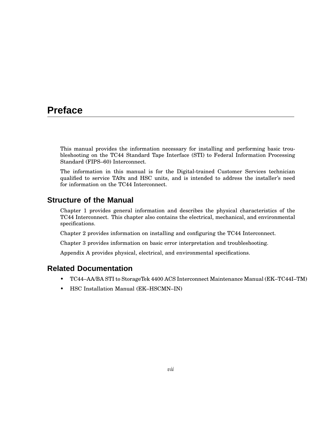## **Preface**

This manual provides the information necessary for installing and performing basic troubleshooting on the TC44 Standard Tape Interface (STI) to Federal Information Processing Standard (FIPS–60) Interconnect.

The information in this manual is for the Digital-trained Customer Services technician qualified to service TA9x and HSC units, and is intended to address the installer's need for information on the TC44 Interconnect.

### **Structure of the Manual**

Chapter 1 provides general information and describes the physical characteristics of the TC44 Interconnect. This chapter also contains the electrical, mechanical, and environmental specifications.

Chapter 2 provides information on installing and configuring the TC44 Interconnect.

Chapter 3 provides information on basic error interpretation and troubleshooting.

Appendix A provides physical, electrical, and environmental specifications.

### **Related Documentation**

- TC44–AA/BA STI to StorageTek 4400 ACS Interconnect Maintenance Manual (EK–TC44I–TM)
- HSC Installation Manual (EK–HSCMN–IN)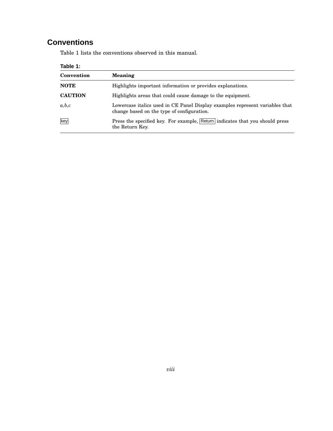## **Conventions**

Table 1 lists the conventions observed in this manual.

| Table 1:       |                                                                                                                            |  |
|----------------|----------------------------------------------------------------------------------------------------------------------------|--|
| Convention     | <b>Meaning</b>                                                                                                             |  |
| <b>NOTE</b>    | Highlights important information or provides explanations.                                                                 |  |
| <b>CAUTION</b> | Highlights areas that could cause damage to the equipment.                                                                 |  |
| a,b,c          | Lowercase italics used in CE Panel Display examples represent variables that<br>change based on the type of configuration. |  |
| key            | Press the specified key. For example, Return indicates that you should press<br>the Return Key.                            |  |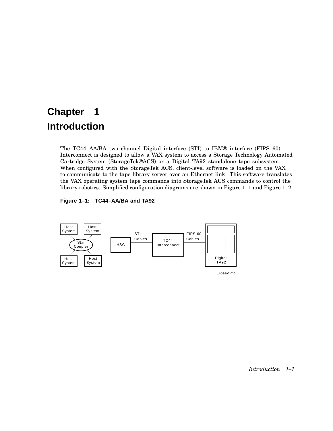# **Chapter 1**

## **Introduction**

The TC44–AA/BA two channel Digital interface (STI) to IBM® interface (FIPS–60) Interconnect is designed to allow a VAX system to access a Storage Technology Automated Cartridge System (StorageTek®ACS) or a Digital TA92 standalone tape subsystem. When configured with the StorageTek ACS, client-level software is loaded on the VAX to communicate to the tape library server over an Ethernet link. This software translates the VAX operating system tape commands into StorageTek ACS commands to control the library robotics. Simplified configuration diagrams are shown in Figure 1–1 and Figure 1–2.





LJ-03697-TI0

*Introduction 1–1*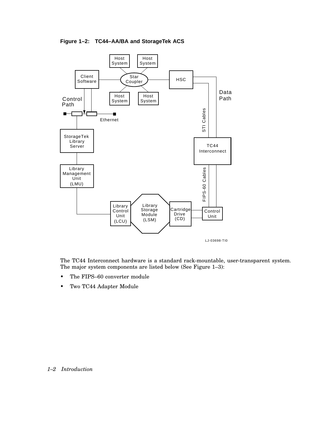



The TC44 Interconnect hardware is a standard rack-mountable, user-transparent system. The major system components are listed below (See Figure 1–3):

- The FIPS–60 converter module
- Two TC44 Adapter Module

#### *1–2 Introduction*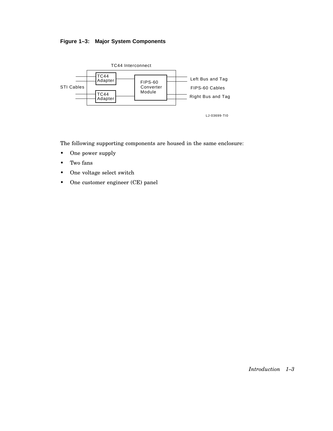



The following supporting components are housed in the same enclosure:

- One power supply
- Two fans
- One voltage select switch
- One customer engineer (CE) panel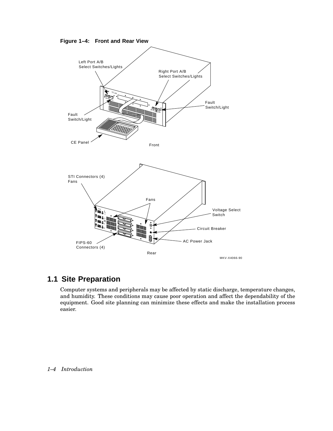



### **1.1 Site Preparation**

Computer systems and peripherals may be affected by static discharge, temperature changes, and humidity. These conditions may cause poor operation and affect the dependability of the equipment. Good site planning can minimize these effects and make the installation process easier.

#### *1–4 Introduction*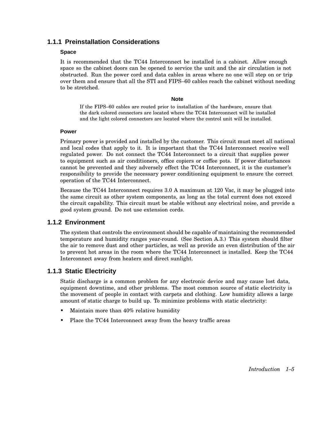### **1.1.1 Preinstallation Considerations**

#### **Space**

It is recommended that the TC44 Interconnect be installed in a cabinet. Allow enough space so the cabinet doors can be opened to service the unit and the air circulation is not obstructed. Run the power cord and data cables in areas where no one will step on or trip over them and ensure that all the STI and FIPS–60 cables reach the cabinet without needing to be stretched.

#### **Note**

If the FIPS–60 cables are routed prior to installation of the hardware, ensure that the dark colored connectors are located where the TC44 Interconnect will be installed and the light colored connectors are located where the control unit will be installed.

#### **Power**

Primary power is provided and installed by the customer. This circuit must meet all national and local codes that apply to it. It is important that the TC44 Interconnect receive well regulated power. Do not connect the TC44 Interconnect to a circuit that supplies power to equipment such as air conditioners, office copiers or coffee pots. If power disturbances cannot be prevented and they adversely effect the TC44 Interconnect, it is the customer's responsibility to provide the necessary power conditioning equipment to ensure the correct operation of the TC44 Interconnect.

Because the TC44 Interconnect requires 3.0 A maximum at 120 Vac, it may be plugged into the same circuit as other system components, as long as the total current does not exceed the circuit capability. This circuit must be stable without any electrical noise, and provide a good system ground. Do not use extension cords.

#### **1.1.2 Environment**

The system that controls the environment should be capable of maintaining the recommended temperature and humidity ranges year-round. (See Section A.3.) This system should filter the air to remove dust and other particles, as well as provide an even distribution of the air to prevent hot areas in the room where the TC44 Interconnect is installed. Keep the TC44 Interconnect away from heaters and direct sunlight.

#### **1.1.3 Static Electricity**

Static discharge is a common problem for any electronic device and may cause lost data, equipment downtime, and other problems. The most common source of static electricity is the movement of people in contact with carpets and clothing. Low humidity allows a large amount of static charge to build up. To minimize problems with static electricity:

- Maintain more than 40% relative humidity
- Place the TC44 Interconnect away from the heavy traffic areas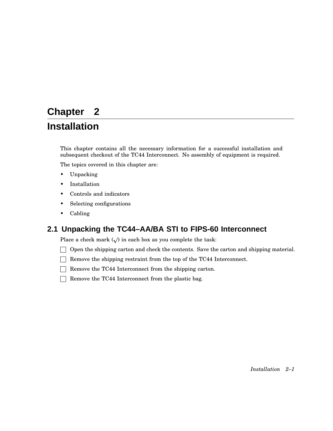# **Chapter 2**

## **Installation**

This chapter contains all the necessary information for a successful installation and subsequent checkout of the TC44 Interconnect. No assembly of equipment is required.

The topics covered in this chapter are:

- Unpacking
- Installation
- Controls and indicators
- Selecting configurations
- Cabling

### **2.1 Unpacking the TC44–AA/BA STI to FIPS-60 Interconnect**

Place a check mark  $(\surd)$  in each box as you complete the task:

 $\Box$  Open the shipping carton and check the contents. Save the carton and shipping material.

- $\Box$  Remove the shipping restraint from the top of the TC44 Interconnect.
- $\Box$  Remove the TC44 Interconnect from the shipping carton.
- $\Box$  Remove the TC44 Interconnect from the plastic bag.

*Installation 2–1*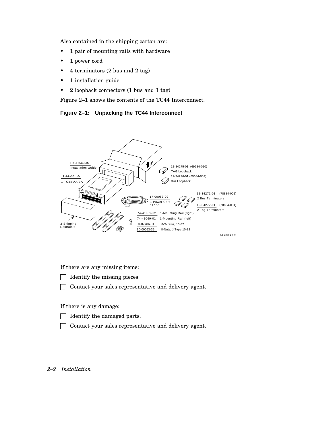Also contained in the shipping carton are:

- 1 pair of mounting rails with hardware
- 1 power cord
- 4 terminators (2 bus and 2 tag)
- 1 installation guide
- 2 loopback connectors (1 bus and 1 tag)

Figure 2–1 shows the contents of the TC44 Interconnect.

**Figure 2–1: Unpacking the TC44 Interconnect**



If there are any missing items:

- $\Box$  Identify the missing pieces.
- $\Box$  Contact your sales representative and delivery agent.

If there is any damage:

- $\Box$  Identify the damaged parts.
- Contact your sales representative and delivery agent.

#### *2–2 Installation*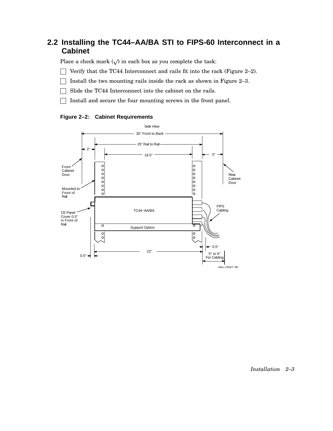## **2.2 Installing the TC44–AA/BA STI to FIPS-60 Interconnect in a Cabinet**

Place a check mark  $(\sqrt{})$  in each box as you complete the task:

- $\Box$  Verify that the TC44 Interconnect and rails fit into the rack (Figure 2–2).
- $\Box$  Install the two mounting rails inside the rack as shown in Figure 2–3.
- Slide the TC44 Interconnect into the cabinet on the rails.
- $\Box$  Install and secure the four mounting screws in the front panel.



**Figure 2–2: Cabinet Requirements**

*Installation 2–3*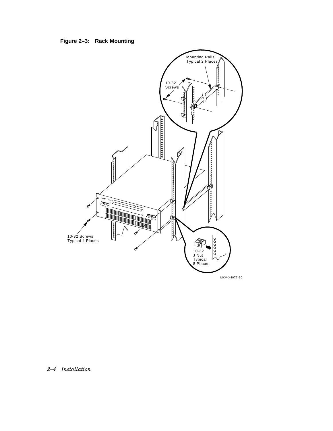**Figure 2–3: Rack Mounting**



#### *2–4 Installation*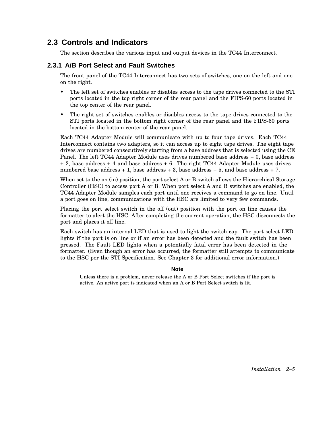### **2.3 Controls and Indicators**

The section describes the various input and output devices in the TC44 Interconnect.

#### **2.3.1 A/B Port Select and Fault Switches**

The front panel of the TC44 Interconnect has two sets of switches, one on the left and one on the right.

- The left set of switches enables or disables access to the tape drives connected to the STI ports located in the top right corner of the rear panel and the FIPS-60 ports located in the top center of the rear panel.
- The right set of switches enables or disables access to the tape drives connected to the STI ports located in the bottom right corner of the rear panel and the FIPS-60 ports located in the bottom center of the rear panel.

Each TC44 Adapter Module will communicate with up to four tape drives. Each TC44 Interconnect contains two adapters, so it can access up to eight tape drives. The eight tape drives are numbered consecutively starting from a base address that is selected using the CE Panel. The left TC44 Adapter Module uses drives numbered base address + 0, base address + 2, base address + 4 and base address + 6. The right TC44 Adapter Module uses drives numbered base address + 1, base address + 3, base address + 5, and base address + 7.

When set to the on (in) position, the port select A or B switch allows the Hierarchical Storage Controller (HSC) to access port A or B. When port select A and B switches are enabled, the TC44 Adapter Module samples each port until one receives a command to go on line. Until a port goes on line, communications with the HSC are limited to very few commands.

Placing the port select switch in the off (out) position with the port on line causes the formatter to alert the HSC. After completing the current operation, the HSC disconnects the port and places it off line.

Each switch has an internal LED that is used to light the switch cap. The port select LED lights if the port is on line or if an error has been detected and the fault switch has been pressed. The Fault LED lights when a potentially fatal error has been detected in the formatter. (Even though an error has occurred, the formatter still attempts to communicate to the HSC per the STI Specification. See Chapter 3 for additional error information.)

#### **Note**

Unless there is a problem, never release the A or B Port Select switches if the port is active. An active port is indicated when an A or B Port Select switch is lit.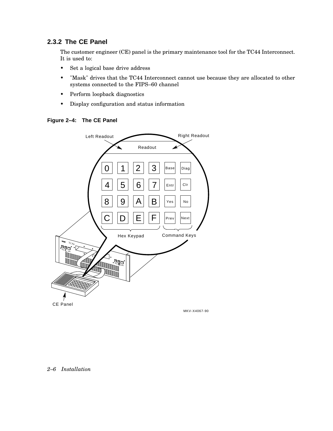### **2.3.2 The CE Panel**

The customer engineer (CE) panel is the primary maintenance tool for the TC44 Interconnect. It is used to:

- Set a logical base drive address
- "Mask" drives that the TC44 Interconnect cannot use because they are allocated to other systems connected to the FIPS–60 channel
- Perform loopback diagnostics
- Display configuration and status information





#### *2–6 Installation*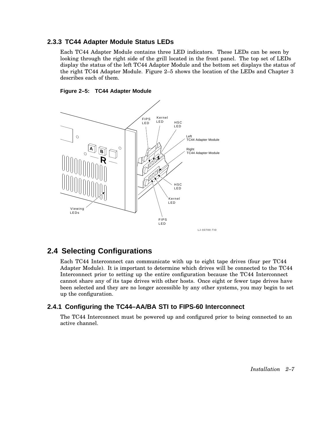#### **2.3.3 TC44 Adapter Module Status LEDs**

Each TC44 Adapter Module contains three LED indicators. These LEDs can be seen by looking through the right side of the grill located in the front panel. The top set of LEDs display the status of the left TC44 Adapter Module and the bottom set displays the status of the right TC44 Adapter Module. Figure 2–5 shows the location of the LEDs and Chapter 3 describes each of them.





### **2.4 Selecting Configurations**

Each TC44 Interconnect can communicate with up to eight tape drives (four per TC44 Adapter Module). It is important to determine which drives will be connected to the TC44 Interconnect prior to setting up the entire configuration because the TC44 Interconnect cannot share any of its tape drives with other hosts. Once eight or fewer tape drives have been selected and they are no longer accessible by any other systems, you may begin to set up the configuration.

#### **2.4.1 Configuring the TC44–AA/BA STI to FIPS-60 Interconnect**

The TC44 Interconnect must be powered up and configured prior to being connected to an active channel.

*Installation 2–7*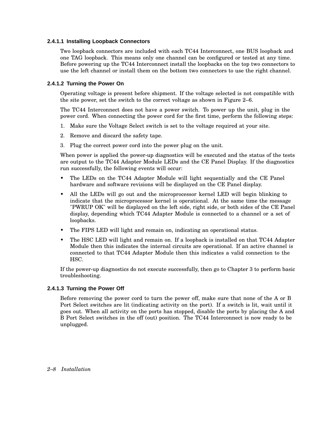#### **2.4.1.1 Installing Loopback Connectors**

Two loopback connectors are included with each TC44 Interconnect, one BUS loopback and one TAG loopback. This means only one channel can be configured or tested at any time. Before powering up the TC44 Interconnect install the loopbacks on the top two connectors to use the left channel or install them on the bottom two connectors to use the right channel.

#### **2.4.1.2 Turning the Power On**

Operating voltage is present before shipment. If the voltage selected is not compatible with the site power, set the switch to the correct voltage as shown in Figure 2–6.

The TC44 Interconnect does not have a power switch. To power up the unit, plug in the power cord. When connecting the power cord for the first time, perform the following steps:

- 1. Make sure the Voltage Select switch is set to the voltage required at your site.
- 2. Remove and discard the safety tape.
- 3. Plug the correct power cord into the power plug on the unit.

When power is applied the power-up diagnostics will be executed and the status of the tests are output to the TC44 Adapter Module LEDs and the CE Panel Display. If the diagnostics run successfully, the following events will occur:

- The LEDs on the TC44 Adapter Module will light sequentially and the CE Panel hardware and software revisions will be displayed on the CE Panel display.
- All the LEDs will go out and the microprocessor kernel LED will begin blinking to indicate that the microprocessor kernel is operational. At the same time the message "PWRUP OK" will be displayed on the left side, right side, or both sides of the CE Panel display, depending which TC44 Adapter Module is connected to a channel or a set of loopbacks.
- The FIPS LED will light and remain on, indicating an operational status.
- The HSC LED will light and remain on. If a loopback is installed on that TC44 Adapter Module then this indicates the internal circuits are operational. If an active channel is connected to that TC44 Adapter Module then this indicates a valid connection to the HSC.

If the power-up diagnostics do not execute successfully, then go to Chapter 3 to perform basic troubleshooting.

#### **2.4.1.3 Turning the Power Off**

Before removing the power cord to turn the power off, make sure that none of the A or B Port Select switches are lit (indicating activity on the port). If a switch is lit, wait until it goes out. When all activity on the ports has stopped, disable the ports by placing the A and B Port Select switches in the off (out) position. The TC44 Interconnect is now ready to be unplugged.

#### *2–8 Installation*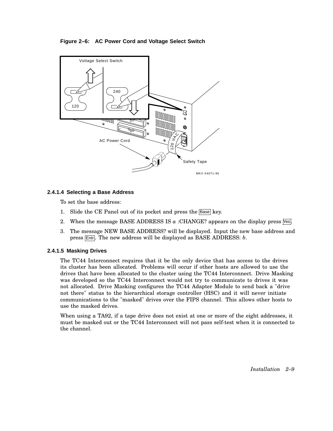#### **Figure 2–6: AC Power Cord and Voltage Select Switch**



#### **2.4.1.4 Selecting a Base Address**

To set the base address:

- 1. Slide the CE Panel out of its pocket and press the Base key.
- 2. When the message BASE ADDRESS IS  $\alpha$  :CHANGE? appears on the display press  $\sqrt{1}$ es.
- 3. The message NEW BASE ADDRESS? will be displayed. Input the new base address and press Entr. The new address will be displayed as BASE ADDRESS: *b*.

#### **2.4.1.5 Masking Drives**

The TC44 Interconnect requires that it be the only device that has access to the drives its cluster has been allocated. Problems will occur if other hosts are allowed to use the drives that have been allocated to the cluster using the TC44 Interconnect. Drive Masking was developed so the TC44 Interconnect would not try to communicate to drives it was not allocated. Drive Masking configures the TC44 Adapter Module to send back a "drive not there" status to the hierarchical storage controller (HSC) and it will never initiate communications to the "masked" drives over the FIPS channel. This allows other hosts to use the masked drives.

When using a TA92, if a tape drive does not exist at one or more of the eight addresses, it must be masked out or the TC44 Interconnect will not pass self-test when it is connected to the channel.

*Installation 2–9*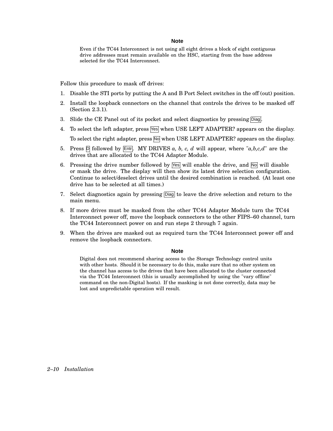#### **Note**

Even if the TC44 Interconnect is not using all eight drives a block of eight contiguous drive addresses must remain available on the HSC, starting from the base address selected for the TC44 Interconnect.

Follow this procedure to mask off drives:

- 1. Disable the STI ports by putting the A and B Port Select switches in the off (out) position.
- 2. Install the loopback connectors on the channel that controls the drives to be masked off (Section 2.3.1).
- 3. Slide the CE Panel out of its pocket and select diagnostics by pressing  $\boxed{\text{Diag}}$ .
- 4. To select the left adapter, press  $\sqrt{5}$  when USE LEFT ADAPTER? appears on the display. To select the right adapter, press  $\overline{N}$  when USE LEFT ADAPTER? appears on the display.
- 5. Press  $\overline{p}$  followed by  $\overline{\text{Ent}}$ . MY DRIVES *a, b, c, d* will appear, where "*a,b,c,d*" are the drives that are allocated to the TC44 Adapter Module.
- 6. Pressing the drive number followed by  $\sqrt{|\cos|}$  will enable the drive, and  $\sqrt{|\cos|}$  will disable or mask the drive. The display will then show its latest drive selection configuration. Continue to select/deselect drives until the desired combination is reached. (At least one drive has to be selected at all times.)
- 7. Select diagnostics again by pressing  $\boxed{\text{Diag}}$  to leave the drive selection and return to the main menu.
- 8. If more drives must be masked from the other TC44 Adapter Module turn the TC44 Interconnect power off, move the loopback connectors to the other FIPS–60 channel, turn the TC44 Interconnect power on and run steps 2 through 7 again.
- 9. When the drives are masked out as required turn the TC44 Interconnect power off and remove the loopback connectors.

#### **Note**

Digital does not recommend sharing access to the Storage Technology control units with other hosts. Should it be necessary to do this, make sure that no other system on the channel has access to the drives that have been allocated to the cluster connected via the TC44 Interconnect (this is usually accomplished by using the "vary offline" command on the non-Digital hosts). If the masking is not done correctly, data may be lost and unpredictable operation will result.

*2–10 Installation*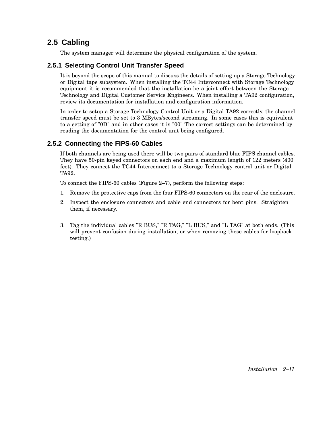## **2.5 Cabling**

The system manager will determine the physical configuration of the system.

### **2.5.1 Selecting Control Unit Transfer Speed**

It is beyond the scope of this manual to discuss the details of setting up a Storage Technology or Digital tape subsystem. When installing the TC44 Interconnect with Storage Technology equipment it is recommended that the installation be a joint effort between the Storage Technology and Digital Customer Service Engineers. When installing a TA92 configuration, review its documentation for installation and configuration information.

In order to setup a Storage Technology Control Unit or a Digital TA92 correctly, the channel transfer speed must be set to 3 MBytes/second streaming. In some cases this is equivalent to a setting of "0D" and in other cases it is "00" The correct settings can be determined by reading the documentation for the control unit being configured.

### **2.5.2 Connecting the FIPS-60 Cables**

If both channels are being used there will be two pairs of standard blue FIPS channel cables. They have 50-pin keyed connectors on each end and a maximum length of 122 meters (400 feet). They connect the TC44 Interconnect to a Storage Technology control unit or Digital TA92.

To connect the FIPS-60 cables (Figure 2–7), perform the following steps:

- 1. Remove the protective caps from the four FIPS-60 connectors on the rear of the enclosure.
- 2. Inspect the enclosure connectors and cable end connectors for bent pins. Straighten them, if necessary.
- 3. Tag the individual cables "R BUS," "R TAG," "L BUS," and "L TAG" at both ends. (This will prevent confusion during installation, or when removing these cables for loopback testing.)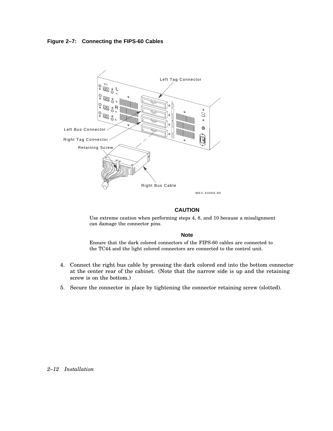#### **Figure 2–7: Connecting the FIPS-60 Cables**



#### **CAUTION**

Use extreme caution when performing steps 4, 8, and 10 because a misalignment can damage the connector pins.

#### **Note**

Ensure that the dark colored connectors of the FIPS-60 cables are connected to the TC44 and the light colored connectors are connected to the control unit.

- 4. Connect the right bus cable by pressing the dark colored end into the bottom connector at the center rear of the cabinet. (Note that the narrow side is up and the retaining screw is on the bottom.)
- 5. Secure the connector in place by tightening the connector retaining screw (slotted).

#### *2–12 Installation*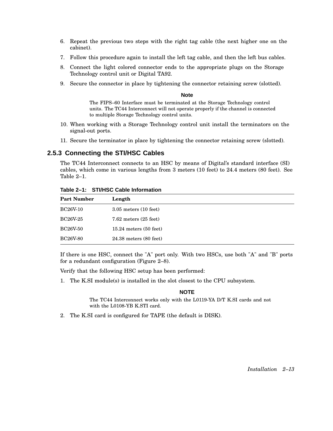- 6. Repeat the previous two steps with the right tag cable (the next higher one on the cabinet).
- 7. Follow this procedure again to install the left tag cable, and then the left bus cables.
- 8. Connect the light colored connector ends to the appropriate plugs on the Storage Technology control unit or Digital TA92.
- 9. Secure the connector in place by tightening the connector retaining screw (slotted).

#### **Note**

The FIPS–60 Interface must be terminated at the Storage Technology control units. The TC44 Interconnect will not operate properly if the channel is connected to multiple Storage Technology control units.

- 10. When working with a Storage Technology control unit install the terminators on the signal-out ports.
- 11. Secure the terminator in place by tightening the connector retaining screw (slotted).

#### **2.5.3 Connecting the STI/HSC Cables**

The TC44 Interconnect connects to an HSC by means of Digital's standard interface (SI) cables, which come in various lengths from 3 meters (10 feet) to 24.4 meters (80 feet). See Table 2–1.

**Table 2–1: STI/HSC Cable Information**

| <b>Part Number</b> | Length                     |
|--------------------|----------------------------|
| <b>BC26V-10</b>    | $3.05$ meters $(10$ feet)  |
| <b>BC26V-25</b>    | $7.62$ meters $(25$ feet)  |
| <b>BC26V-50</b>    | $15.24$ meters $(50$ feet) |
| <b>BC26V-80</b>    | $24.38$ meters $(80$ feet) |

If there is one HSC, connect the "A" port only. With two HSCs, use both "A" and "B" ports for a redundant configuration (Figure 2–8).

Verify that the following HSC setup has been performed:

1. The K.SI module(s) is installed in the slot closest to the CPU subsystem.

#### **NOTE**

The TC44 Interconnect works only with the L0119-YA D/T K.SI cards and not with the L0108-YB K.STI card.

2. The K.SI card is configured for TAPE (the default is DISK).

*Installation 2–13*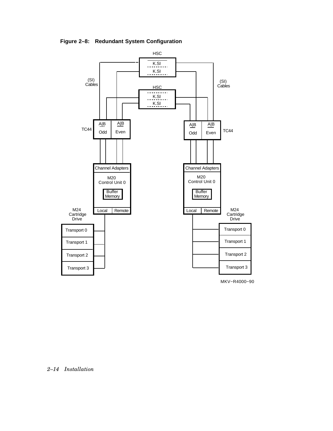**Figure 2–8: Redundant System Configuration**



MKV−R4000−90

*2–14 Installation*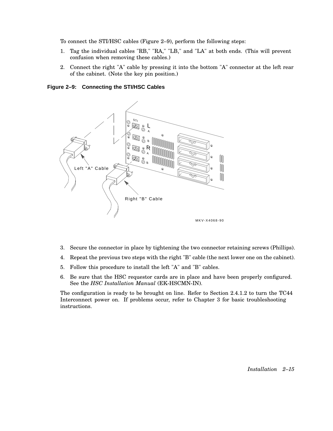To connect the STI/HSC cables (Figure 2–9), perform the following steps:

- 1. Tag the individual cables "RB," "RA," "LB," and "LA" at both ends. (This will prevent confusion when removing these cables.)
- 2. Connect the right "A" cable by pressing it into the bottom "A" connector at the left rear of the cabinet. (Note the key pin position.)

**Figure 2–9: Connecting the STI/HSC Cables**



- 3. Secure the connector in place by tightening the two connector retaining screws (Phillips).
- 4. Repeat the previous two steps with the right "B" cable (the next lower one on the cabinet).
- 5. Follow this procedure to install the left "A" and "B" cables.
- 6. Be sure that the HSC requestor cards are in place and have been properly configured. See the *HSC Installation Manual* (EK-HSCMN-IN).

The configuration is ready to be brought on line. Refer to Section 2.4.1.2 to turn the TC44 Interconnect power on. If problems occur, refer to Chapter 3 for basic troubleshooting instructions.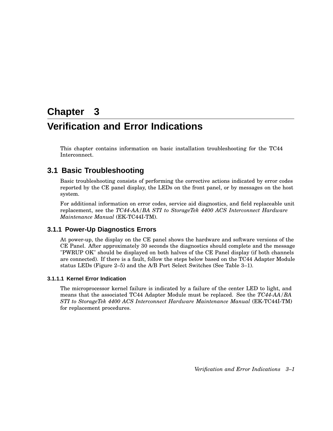# **Chapter 3 Verification and Error Indications**

This chapter contains information on basic installation troubleshooting for the TC44 Interconnect.

## **3.1 Basic Troubleshooting**

Basic troubleshooting consists of performing the corrective actions indicated by error codes reported by the CE panel display, the LEDs on the front panel, or by messages on the host system.

For additional information on error codes, service aid diagnostics, and field replaceable unit replacement, see the *TC44-AA/BA STI to StorageTek 4400 ACS Interconnect Hardware Maintenance Manual* (EK-TC44I-TM).

#### **3.1.1 Power-Up Diagnostics Errors**

At power-up, the display on the CE panel shows the hardware and software versions of the CE Panel. After approximately 30 seconds the diagnostics should complete and the message "PWRUP OK" should be displayed on both halves of the CE Panel display (if both channels are connected). If there is a fault, follow the steps below based on the TC44 Adapter Module status LEDs (Figure 2–5) and the A/B Port Select Switches (See Table 3–1).

#### **3.1.1.1 Kernel Error Indication**

The microprocessor kernel failure is indicated by a failure of the center LED to light, and means that the associated TC44 Adapter Module must be replaced. See the *TC44-AA/BA STI to StorageTek 4400 ACS Interconnect Hardware Maintenance Manual* (EK-TC44I-TM) for replacement procedures.

*Verification and Error Indications 3–1*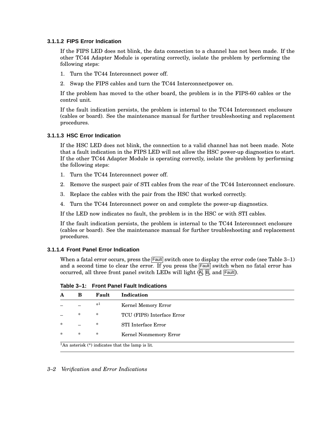#### **3.1.1.2 FIPS Error Indication**

If the FIPS LED does not blink, the data connection to a channel has not been made. If the other TC44 Adapter Module is operating correctly, isolate the problem by performing the following steps:

- 1. Turn the TC44 Interconnect power off.
- 2. Swap the FIPS cables and turn the TC44 Interconnectpower on.

If the problem has moved to the other board, the problem is in the FIPS-60 cables or the control unit.

If the fault indication persists, the problem is internal to the TC44 Interconnect enclosure (cables or board). See the maintenance manual for further troubleshooting and replacement procedures.

#### **3.1.1.3 HSC Error Indication**

If the HSC LED does not blink, the connection to a valid channel has not been made. Note that a fault indication in the FIPS LED will not allow the HSC power-up diagnostics to start. If the other TC44 Adapter Module is operating correctly, isolate the problem by performing the following steps:

- 1. Turn the TC44 Interconnect power off.
- 2. Remove the suspect pair of STI cables from the rear of the TC44 Interconnect enclosure.
- 3. Replace the cables with the pair from the HSC that worked correctly.
- 4. Turn the TC44 Interconnect power on and complete the power-up diagnostics.

If the LED now indicates no fault, the problem is in the HSC or with STI cables.

If the fault indication persists, the problem is internal to the TC44 Interconnect enclosure (cables or board). See the maintenance manual for further troubleshooting and replacement procedures.

#### **3.1.1.4 Front Panel Error Indication**

When a fatal error occurs, press the  $\sqrt{\frac{F_{\text{full}}}{F_{\text{full}}}}$  switch once to display the error code (see Table 3–1) and a second time to clear the error. If you press the  $\sqrt{F_{\text{ault}}}$  switch when no fatal error has occurred, all three front panel switch LEDs will light (A, B, and Fault).

**A B Fault Indication** – – \* <sup>1</sup> Kernel Memory Error – \* \* TCU (FIPS) Interface Error \* – \* STI Interface Error \* \* \* Kernel Nonmemory Error

**Table 3–1: Front Panel Fault Indications**

 $\frac{1}{1}$ An asterisk (\*) indicates that the lamp is lit.

#### *3–2 Verification and Error Indications*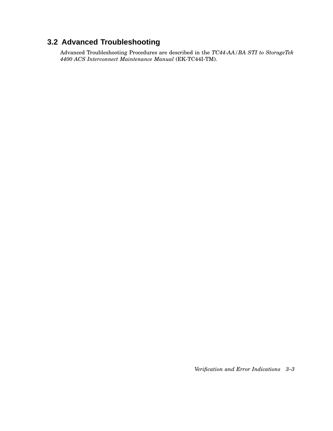## **3.2 Advanced Troubleshooting**

Advanced Troubleshooting Procedures are described in the *TC44-AA/BA STI to StorageTek 4400 ACS Interconnect Maintenance Manual* (EK-TC44I-TM).

*Verification and Error Indications 3–3*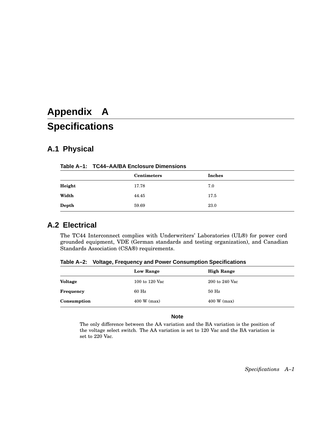# **Appendix A Specifications**

## **A.1 Physical**

#### **Table A–1: TC44–AA/BA Enclosure Dimensions**

|        | <b>Centimeters</b> | <b>Inches</b> |
|--------|--------------------|---------------|
| Height | 17.78              | 7.0           |
| Width  | 44.45              | 17.5          |
| Depth  | 59.69              | 23.0          |

## **A.2 Electrical**

The TC44 Interconnect complies with Underwriters' Laboratories (UL®) for power cord grounded equipment, VDE (German standards and testing organization), and Canadian Standards Association (CSA®) requirements.

**Table A–2: Voltage, Frequency and Power Consumption Specifications**

|                | <b>Low Range</b>      | <b>High Range</b> |
|----------------|-----------------------|-------------------|
| <b>Voltage</b> | 100 to 120 Vac        | 200 to 240 Vac    |
| Frequency      | 60 Hz                 | $50$ Hz           |
| Consumption    | $400 \text{ W}$ (max) | $400 W$ (max)     |

#### **Note**

The only difference between the AA variation and the BA variation is the position of the voltage select switch. The AA variation is set to 120 Vac and the BA variation is set to 220 Vac.

*Specifications A–1*